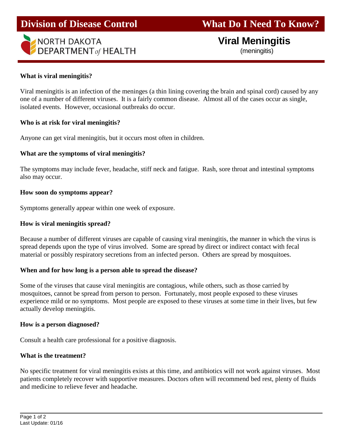

# **Viral Meningitis**

(meningitis)

### **What is viral meningitis?**

Viral meningitis is an infection of the meninges (a thin lining covering the brain and spinal cord) caused by any one of a number of different viruses. It is a fairly common disease. Almost all of the cases occur as single, isolated events. However, occasional outbreaks do occur.

j

### **Who is at risk for viral meningitis?**

Anyone can get viral meningitis, but it occurs most often in children.

## **What are the symptoms of viral meningitis?**

The symptoms may include fever, headache, stiff neck and fatigue. Rash, sore throat and intestinal symptoms also may occur.

## **How soon do symptoms appear?**

Symptoms generally appear within one week of exposure.

## **How is viral meningitis spread?**

Because a number of different viruses are capable of causing viral meningitis, the manner in which the virus is spread depends upon the type of virus involved. Some are spread by direct or indirect contact with fecal material or possibly respiratory secretions from an infected person. Others are spread by mosquitoes.

### **When and for how long is a person able to spread the disease?**

Some of the viruses that cause viral meningitis are contagious, while others, such as those carried by mosquitoes, cannot be spread from person to person. Fortunately, most people exposed to these viruses experience mild or no symptoms. Most people are exposed to these viruses at some time in their lives, but few actually develop meningitis.

### **How is a person diagnosed?**

Consult a health care professional for a positive diagnosis.

## **What is the treatment?**

No specific treatment for viral meningitis exists at this time, and antibiotics will not work against viruses. Most patients completely recover with supportive measures. Doctors often will recommend bed rest, plenty of fluids and medicine to relieve fever and headache.